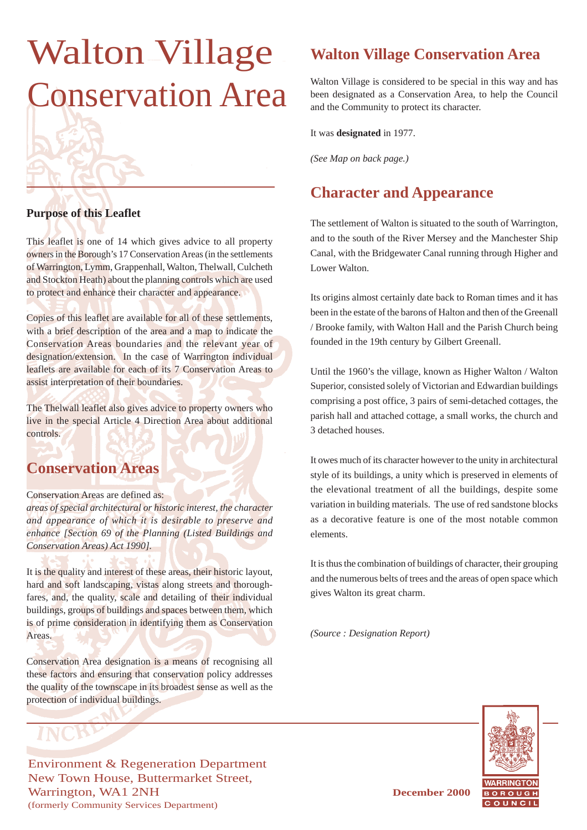# Walton Village Conservation Area

#### **Purpose of this Leaflet**

This leaflet is one of 14 which gives advice to all property owners in the Borough's 17 Conservation Areas (in the settlements of Warrington, Lymm, Grappenhall, Walton, Thelwall, Culcheth and Stockton Heath) about the planning controls which are used to protect and enhance their character and appearance.

Copies of this leaflet are available for all of these settlements, with a brief description of the area and a map to indicate the Conservation Areas boundaries and the relevant year of designation/extension. In the case of Warrington individual leaflets are available for each of its 7 Conservation Areas to assist interpretation of their boundaries.

The Thelwall leaflet also gives advice to property owners who live in the special Article 4 Direction Area about additional controls.

#### **Conservation Areas**

#### Conservation Areas are defined as:

*areas of special architectural or historic interest, the character and appearance of which it is desirable to preserve and enhance [Section 69 of the Planning (Listed Buildings and Conservation Areas) Act 1990].*

It is the quality and interest of these areas, their historic layout, hard and soft landscaping, vistas along streets and thoroughfares, and, the quality, scale and detailing of their individual buildings, groups of buildings and spaces between them, which is of prime consideration in identifying them as Conservation Areas.

Conservation Area designation is a means of recognising all these factors and ensuring that conservation policy addresses the quality of the townscape in its broadest sense as well as the protection of individual buildings.

#### Environment & Regeneration Department New Town House, Buttermarket Street, Warrington, WA1 2NH **December 2000** (formerly Community Services Department)

# **Walton Village Conservation Area**

Walton Village is considered to be special in this way and has been designated as a Conservation Area, to help the Council and the Community to protect its character.

It was **designated** in 1977.

*(See Map on back page.)*

## **Character and Appearance**

The settlement of Walton is situated to the south of Warrington, and to the south of the River Mersey and the Manchester Ship Canal, with the Bridgewater Canal running through Higher and Lower Walton.

Its origins almost certainly date back to Roman times and it has been in the estate of the barons of Halton and then of the Greenall / Brooke family, with Walton Hall and the Parish Church being founded in the 19th century by Gilbert Greenall.

Until the 1960's the village, known as Higher Walton / Walton Superior, consisted solely of Victorian and Edwardian buildings comprising a post office, 3 pairs of semi-detached cottages, the parish hall and attached cottage, a small works, the church and 3 detached houses.

It owes much of its character however to the unity in architectural style of its buildings, a unity which is preserved in elements of the elevational treatment of all the buildings, despite some variation in building materials. The use of red sandstone blocks as a decorative feature is one of the most notable common elements.

It is thus the combination of buildings of character, their grouping and the numerous belts of trees and the areas of open space which gives Walton its great charm.

*(Source : Designation Report)*

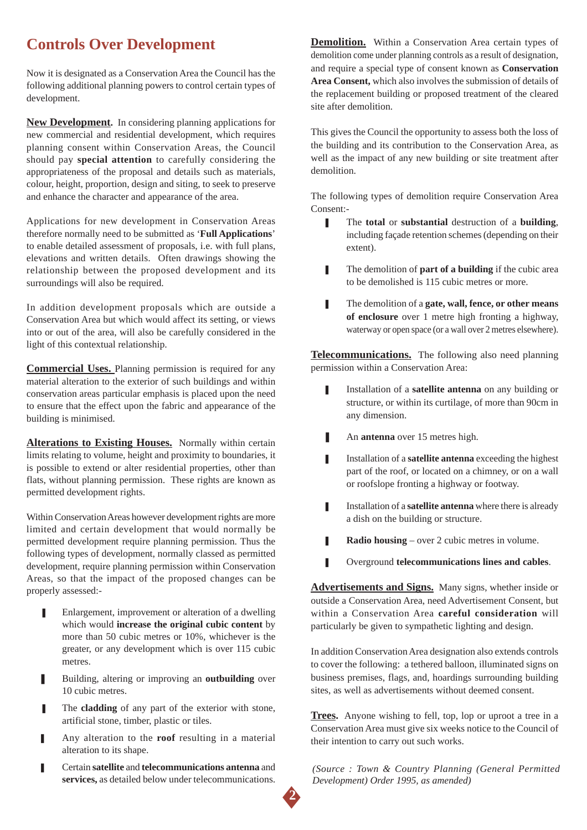# **Controls Over Development**

Now it is designated as a Conservation Area the Council has the following additional planning powers to control certain types of development.

**New Development.** In considering planning applications for new commercial and residential development, which requires planning consent within Conservation Areas, the Council should pay **special attention** to carefully considering the appropriateness of the proposal and details such as materials, colour, height, proportion, design and siting, to seek to preserve and enhance the character and appearance of the area.

Applications for new development in Conservation Areas therefore normally need to be submitted as '**Full Applications**' to enable detailed assessment of proposals, i.e. with full plans, elevations and written details. Often drawings showing the relationship between the proposed development and its surroundings will also be required.

In addition development proposals which are outside a Conservation Area but which would affect its setting, or views into or out of the area, will also be carefully considered in the light of this contextual relationship.

**Commercial Uses.** Planning permission is required for any material alteration to the exterior of such buildings and within conservation areas particular emphasis is placed upon the need to ensure that the effect upon the fabric and appearance of the building is minimised.

**Alterations to Existing Houses.** Normally within certain limits relating to volume, height and proximity to boundaries, it is possible to extend or alter residential properties, other than flats, without planning permission. These rights are known as permitted development rights.

Within Conservation Areas however development rights are more limited and certain development that would normally be permitted development require planning permission. Thus the following types of development, normally classed as permitted development, require planning permission within Conservation Areas, so that the impact of the proposed changes can be properly assessed:-

- Enlargement, improvement or alteration of a dwelling which would **increase the original cubic content** by more than 50 cubic metres or 10%, whichever is the greater, or any development which is over 115 cubic metres.
- Building, altering or improving an **outbuilding** over 10 cubic metres.
- The **cladding** of any part of the exterior with stone, artificial stone, timber, plastic or tiles.
- Any alteration to the **roof** resulting in a material alteration to its shape.
- ❚ Certain **satellite** and **telecommunications antenna** and **services,** as detailed below under telecommunications.

**Demolition.** Within a Conservation Area certain types of demolition come under planning controls as a result of designation, and require a special type of consent known as **Conservation Area Consent,** which also involves the submission of details of the replacement building or proposed treatment of the cleared site after demolition.

This gives the Council the opportunity to assess both the loss of the building and its contribution to the Conservation Area, as well as the impact of any new building or site treatment after demolition.

The following types of demolition require Conservation Area Consent:-

- The **total** or **substantial** destruction of a **building**, including façade retention schemes (depending on their extent).
- **■** The demolition of **part of a building** if the cubic area to be demolished is 115 cubic metres or more.
- **■** The demolition of a **gate, wall, fence, or other means of enclosure** over 1 metre high fronting a highway, waterway or open space (or a wall over 2 metres elsewhere).

**Telecommunications.** The following also need planning permission within a Conservation Area:

- **I** Installation of a **satellite antenna** on any building or structure, or within its curtilage, of more than 90cm in any dimension.
- An **antenna** over 15 metres high.
- **I** Installation of a **satellite antenna** exceeding the highest part of the roof, or located on a chimney, or on a wall or roofslope fronting a highway or footway.
- **■** Installation of a **satellite antenna** where there is already a dish on the building or structure.
- **Radio housing** over 2 cubic metres in volume.
- ❚ Overground **telecommunications lines and cables**.

**Advertisements and Signs.** Many signs, whether inside or outside a Conservation Area, need Advertisement Consent, but within a Conservation Area **careful consideration** will particularly be given to sympathetic lighting and design.

In addition Conservation Area designation also extends controls to cover the following: a tethered balloon, illuminated signs on business premises, flags, and, hoardings surrounding building sites, as well as advertisements without deemed consent.

**Trees.** Anyone wishing to fell, top, lop or uproot a tree in a Conservation Area must give six weeks notice to the Council of their intention to carry out such works.

*(Source : Town & Country Planning (General Permitted Development) Order 1995, as amended)*

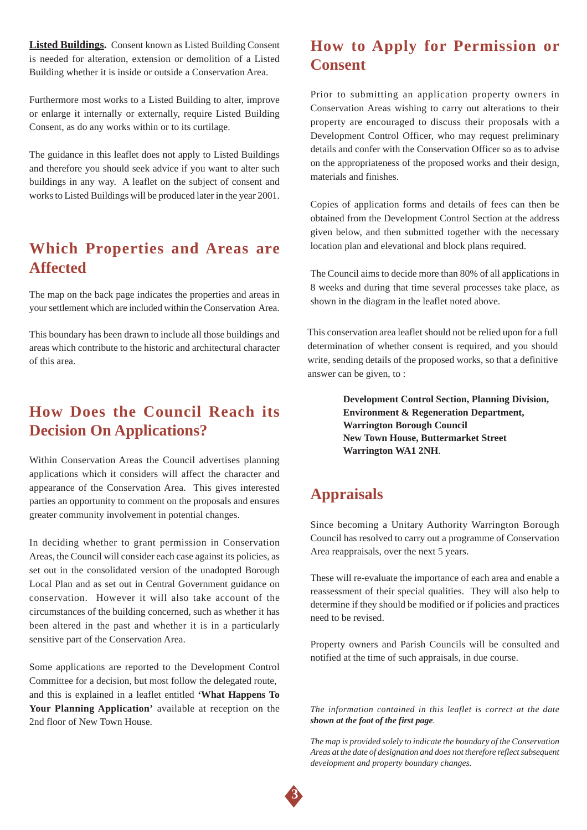**Listed Buildings.** Consent known as Listed Building Consent is needed for alteration, extension or demolition of a Listed Building whether it is inside or outside a Conservation Area.

Furthermore most works to a Listed Building to alter, improve or enlarge it internally or externally, require Listed Building Consent, as do any works within or to its curtilage.

The guidance in this leaflet does not apply to Listed Buildings and therefore you should seek advice if you want to alter such buildings in any way. A leaflet on the subject of consent and works to Listed Buildings will be produced later in the year 2001.

#### **Which Properties and Areas are Affected**

The map on the back page indicates the properties and areas in your settlement which are included within the Conservation Area.

This boundary has been drawn to include all those buildings and areas which contribute to the historic and architectural character of this area.

### **How Does the Council Reach its Decision On Applications?**

Within Conservation Areas the Council advertises planning applications which it considers will affect the character and appearance of the Conservation Area. This gives interested parties an opportunity to comment on the proposals and ensures greater community involvement in potential changes.

In deciding whether to grant permission in Conservation Areas, the Council will consider each case against its policies, as set out in the consolidated version of the unadopted Borough Local Plan and as set out in Central Government guidance on conservation. However it will also take account of the circumstances of the building concerned, such as whether it has been altered in the past and whether it is in a particularly sensitive part of the Conservation Area.

Some applications are reported to the Development Control Committee for a decision, but most follow the delegated route, and this is explained in a leaflet entitled **'What Happens To Your Planning Application'** available at reception on the 2nd floor of New Town House.

### **How to Apply for Permission or Consent**

Prior to submitting an application property owners in Conservation Areas wishing to carry out alterations to their property are encouraged to discuss their proposals with a Development Control Officer, who may request preliminary details and confer with the Conservation Officer so as to advise on the appropriateness of the proposed works and their design, materials and finishes.

Copies of application forms and details of fees can then be obtained from the Development Control Section at the address given below, and then submitted together with the necessary location plan and elevational and block plans required.

The Council aims to decide more than 80% of all applications in 8 weeks and during that time several processes take place, as shown in the diagram in the leaflet noted above.

This conservation area leaflet should not be relied upon for a full determination of whether consent is required, and you should write, sending details of the proposed works, so that a definitive answer can be given, to :

> **Development Control Section, Planning Division, Environment & Regeneration Department, Warrington Borough Council New Town House, Buttermarket Street Warrington WA1 2NH**.

#### **Appraisals**

Since becoming a Unitary Authority Warrington Borough Council has resolved to carry out a programme of Conservation Area reappraisals, over the next 5 years.

These will re-evaluate the importance of each area and enable a reassessment of their special qualities. They will also help to determine if they should be modified or if policies and practices need to be revised.

Property owners and Parish Councils will be consulted and notified at the time of such appraisals, in due course.

*The information contained in this leaflet is correct at the date shown at the foot of the first page.*

*The map is provided solely to indicate the boundary of the Conservation Areas at the date of designation and does not therefore reflect subsequent development and property boundary changes.*